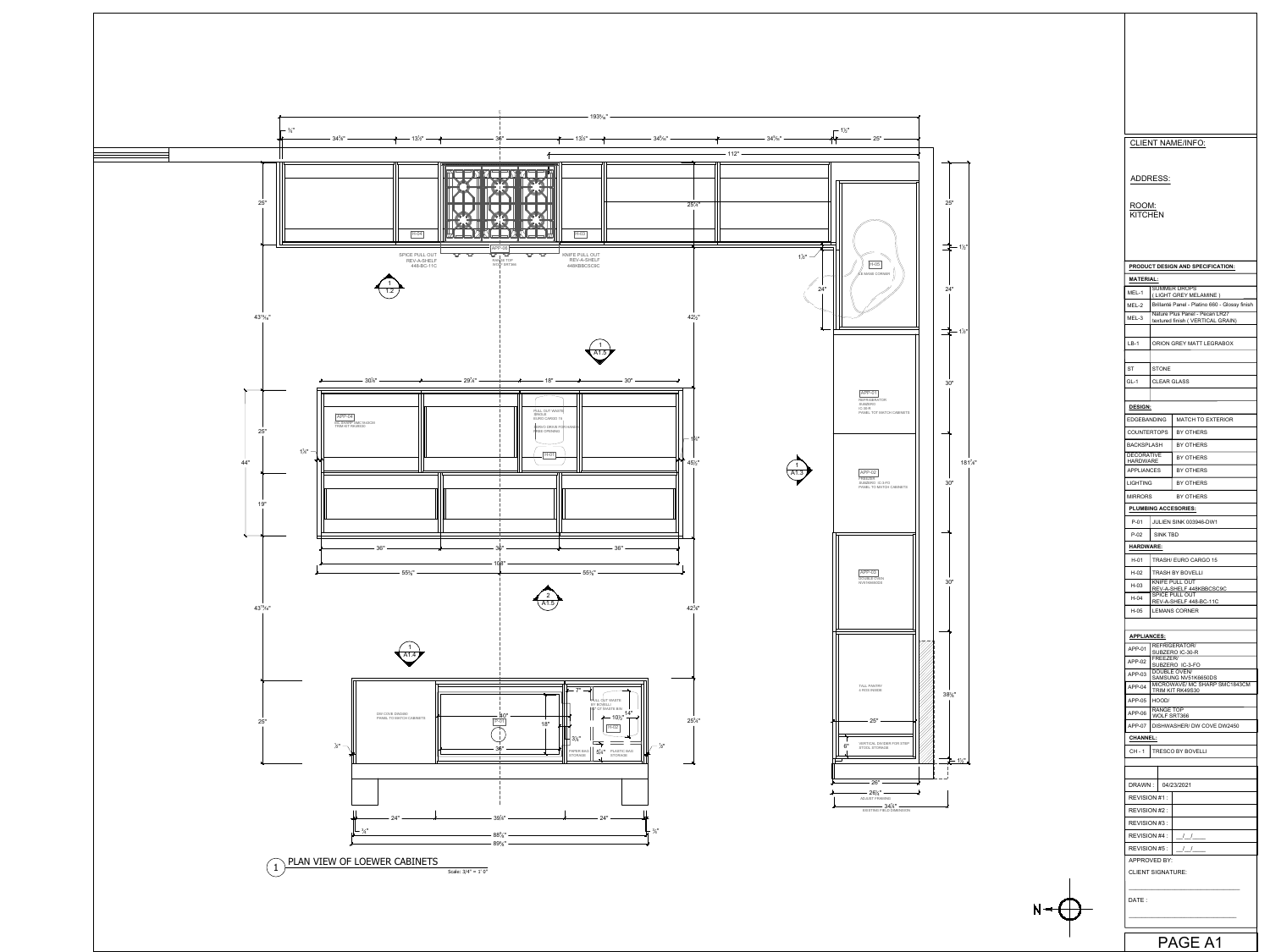

|                                          |                           | <b>CLIENT NAME/INFO:</b>                                             |  |
|------------------------------------------|---------------------------|----------------------------------------------------------------------|--|
|                                          |                           |                                                                      |  |
| ADDRESS:                                 |                           |                                                                      |  |
|                                          |                           |                                                                      |  |
| ROOM:<br>KITCHEN                         |                           |                                                                      |  |
|                                          |                           |                                                                      |  |
|                                          |                           |                                                                      |  |
|                                          |                           |                                                                      |  |
| <b>MATERIAL:</b>                         |                           | <b>PRODUCT DESIGN AND SPECIFICATION:</b>                             |  |
| MEL-1                                    |                           | <b>SUMMER DROPS</b><br>(LIGHT GREY MELAMINE)                         |  |
| MEL-2                                    |                           | Brillanté Panel - Platino 660 - Glossy finish                        |  |
| MEL-3                                    |                           | Nature Plus Panel - Pecan LR27<br>textured finish (VERTICAL GRAIN)   |  |
| $LB-1$                                   |                           | ORION GREY MATT LEGRABOX                                             |  |
|                                          |                           |                                                                      |  |
| ST                                       | <b>STONE</b>              |                                                                      |  |
| GL-1                                     | <b>CLEAR GLASS</b>        |                                                                      |  |
| <b>DESIGN:</b>                           |                           |                                                                      |  |
| <b>EDGEBANDING</b>                       |                           | <b>MATCH TO EXTERIOR</b>                                             |  |
| <b>COUNTERTOPS</b>                       |                           | BY OTHERS                                                            |  |
| <b>BACKSPLASH</b>                        |                           | BY OTHERS                                                            |  |
| <b>DECORATIVE</b><br><b>HARDWARE</b>     |                           | BY OTHERS                                                            |  |
| <b>APPLIANCES</b>                        |                           | <b>BY OTHERS</b>                                                     |  |
| <b>LIGHTING</b>                          |                           | BY OTHERS                                                            |  |
| <b>MIRRORS</b>                           |                           | <b>BY OTHERS</b>                                                     |  |
| <b>PLUMBING ACCESORIES:</b><br>P-01      |                           | JULIEN SINK 003946-DW1                                               |  |
| $P-02$                                   | SINK TBD                  |                                                                      |  |
| <b>HARDWARE:</b>                         |                           |                                                                      |  |
| $H-01$                                   |                           | TRASH/ EURO CARGO 15                                                 |  |
| H-02                                     |                           | <b>TRASH BY BOVELLI</b>                                              |  |
| H-03                                     |                           | KNIFE PULL OUT<br>REV-A-SHELF 448KBBCSC9C<br><b>SPICE PULL OUT</b>   |  |
| H-04                                     |                           | REV-A-SHELF 448-BC-11C                                               |  |
| H-05                                     |                           | <b>LEMANS CORNER</b>                                                 |  |
| <b>APPLIANCES:</b>                       |                           |                                                                      |  |
| APP-01                                   |                           | <b>REFRIGERATOR/</b><br>SUBZERO IC-30-R                              |  |
| APP-02                                   | FREEZER/                  | SUBZERO IC-3-FO                                                      |  |
| APP-03                                   |                           | DOUBLE OVEN/<br>SAMSUNG NV51K6650DS<br>MICROWAVE/ MC SHARP SMC1843CM |  |
| APP-04                                   |                           | TRIM KIT RK49S30                                                     |  |
| APP-05                                   | HOOD/<br><b>RANGE TOP</b> |                                                                      |  |
| APP-06<br>APP-07                         | <b>WOLF SRT366</b>        | DISHWASHER/ DW COVE DW2450                                           |  |
| <b>CHANNEL:</b>                          |                           |                                                                      |  |
| CH-1                                     |                           | <b>TRESCO BY BOVELLI</b>                                             |  |
|                                          |                           |                                                                      |  |
| DRAWN :                                  |                           | 04/23/2021                                                           |  |
| REVISION #1:                             |                           |                                                                      |  |
| REVISION #2 :                            |                           |                                                                      |  |
| REVISION #3 :                            |                           |                                                                      |  |
| REVISION #4 :                            |                           | $\frac{1}{1}$                                                        |  |
| REVISION #5 :                            |                           | $\frac{1}{2}$                                                        |  |
| APPROVED BY:<br><b>CLIENT SIGNATURE:</b> |                           |                                                                      |  |
|                                          |                           |                                                                      |  |
| DATE :                                   |                           |                                                                      |  |
|                                          |                           |                                                                      |  |
|                                          |                           |                                                                      |  |

 $N \leftarrow \leftarrow$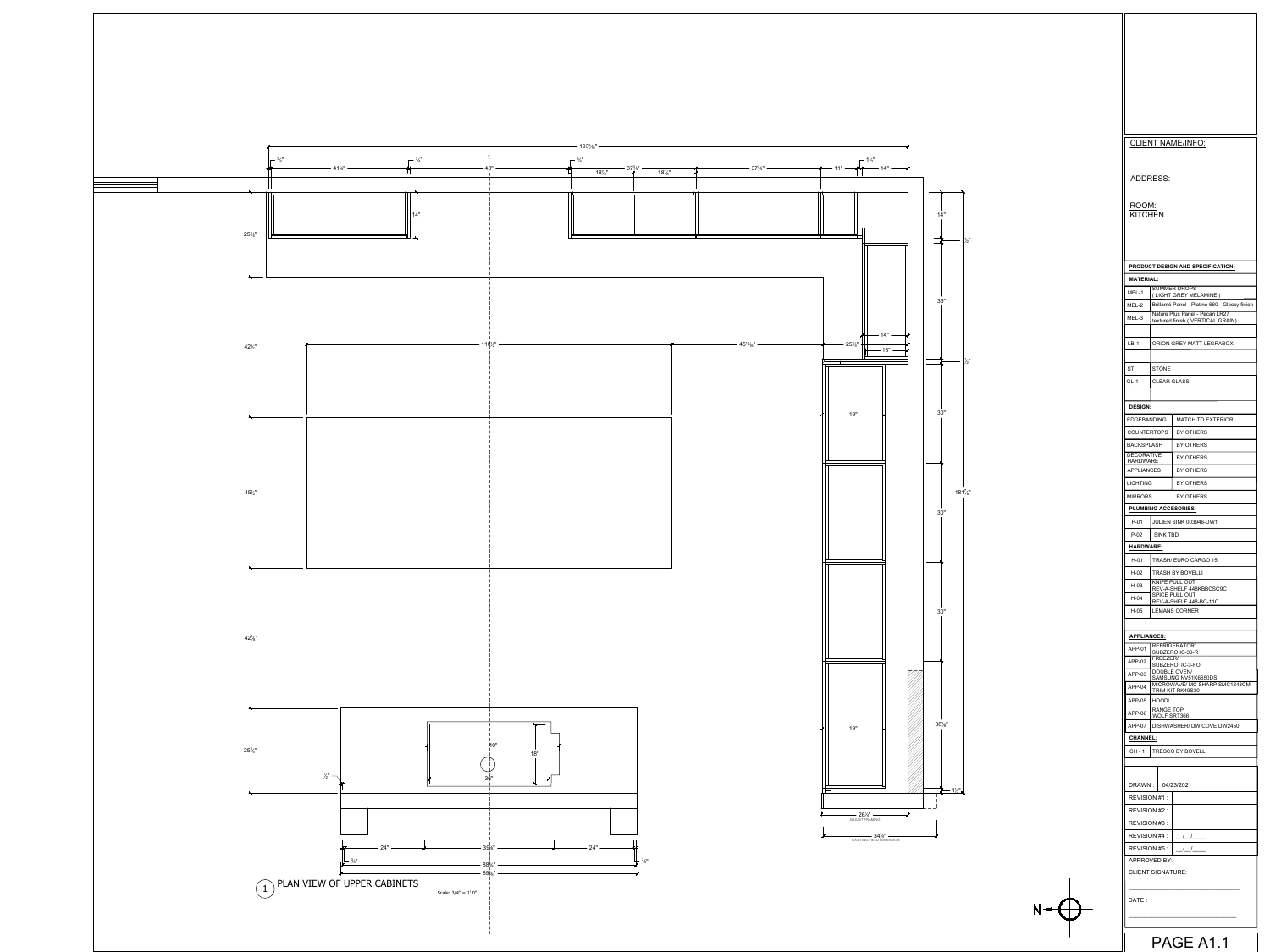|                                      |                             | <b>CLIENT NAME/INFO:</b>                                                                                                                                     |  |
|--------------------------------------|-----------------------------|--------------------------------------------------------------------------------------------------------------------------------------------------------------|--|
|                                      |                             |                                                                                                                                                              |  |
|                                      | ADDRESS:                    |                                                                                                                                                              |  |
| ROOM:                                |                             |                                                                                                                                                              |  |
| <b>KITCHEN</b>                       |                             |                                                                                                                                                              |  |
|                                      |                             |                                                                                                                                                              |  |
|                                      |                             |                                                                                                                                                              |  |
| <b>MATERIAL:</b>                     |                             | PRODUCT DESIGN AND SPECIFICATION:                                                                                                                            |  |
| MEL-1                                |                             | <b>SUMMER DROPS</b><br>(LIGHT GREY MELAMINE)                                                                                                                 |  |
| MEL-2                                |                             | Brillanté Panel - Platino 660 - Glossy finish<br>Nature Plus Panel - Pecan LR27                                                                              |  |
| MEL-3                                |                             | textured finish (VERTICAL GRAIN)                                                                                                                             |  |
| $LB-1$                               |                             | ORION GREY MATT LEGRABOX                                                                                                                                     |  |
|                                      |                             |                                                                                                                                                              |  |
| ST<br>GL-1                           | STONE<br><b>CLEAR GLASS</b> |                                                                                                                                                              |  |
|                                      |                             |                                                                                                                                                              |  |
| <b>DESIGN:</b><br><b>EDGEBANDING</b> |                             | <b>MATCH TO EXTERIOR</b>                                                                                                                                     |  |
| <b>COUNTERTOPS</b>                   |                             | BY OTHERS                                                                                                                                                    |  |
| <b>BACKSPLASH</b>                    |                             | BY OTHERS                                                                                                                                                    |  |
| <b>DECORATIVE</b><br><b>HARDWARE</b> |                             | BY OTHERS                                                                                                                                                    |  |
| <b>APPLIANCES</b>                    |                             | BY OTHERS                                                                                                                                                    |  |
| <b>LIGHTING</b><br><b>MIRRORS</b>    |                             | <b>BY OTHERS</b><br>BY OTHERS                                                                                                                                |  |
|                                      |                             | <b>PLUMBING ACCESORIES:</b>                                                                                                                                  |  |
| P-01                                 |                             | JULIEN SINK 003946-DW1                                                                                                                                       |  |
| $P-02$<br><b>HARDWARE:</b>           | SINK TBD                    |                                                                                                                                                              |  |
| H-01                                 |                             | TRASH/ EURO CARGO 15                                                                                                                                         |  |
| H-02                                 |                             | <b>TRASH BY BOVELLI</b>                                                                                                                                      |  |
| H-03                                 |                             | KNIFE PULL OUT<br>REV-A-SHELF 448KBBCSC9C<br><b>SPICE PULL OUT</b>                                                                                           |  |
| H-04<br>H-05                         |                             | REV-A-SHELF 448-BC-11C<br><b>LEMANS CORNER</b>                                                                                                               |  |
|                                      |                             |                                                                                                                                                              |  |
| <b>APPLIANCES:</b>                   |                             | <b>REFRIGERATOR/</b>                                                                                                                                         |  |
| APP-01<br>APP-02                     | FREEZER/                    | SUBZERO IC-30-R<br>SUBZERO IC-3-FO                                                                                                                           |  |
| APP-03                               |                             | <b>DOUBLE OVEN/</b><br>SAMSUNG NV51K6650DS                                                                                                                   |  |
| $APP-04$                             |                             | MICROWAVE/ MC SHARP SMC1843CM<br>TRIM KIT RK49S30                                                                                                            |  |
| APP-05<br>APP-06                     | HOOD/<br><b>RANGE TOP</b>   |                                                                                                                                                              |  |
| APP-07                               | WOLF SRT366                 | DISHWASHER/ DW COVE DW2450                                                                                                                                   |  |
| <b>CHANNEL:</b>                      |                             |                                                                                                                                                              |  |
| CH - 1                               |                             | <b>TRESCO BY BOVELLI</b>                                                                                                                                     |  |
|                                      |                             |                                                                                                                                                              |  |
| REVISION #1:                         | DRAWN:   04/23/2021         |                                                                                                                                                              |  |
| REVISION #2 :                        |                             |                                                                                                                                                              |  |
| REVISION #3 :                        |                             |                                                                                                                                                              |  |
|                                      | REVISION #5 :               | REVISION #4 : $\frac{1}{1}$ $\frac{1}{1}$ $\frac{1}{1}$ $\frac{1}{1}$ $\frac{1}{1}$ $\frac{1}{1}$ $\frac{1}{1}$ $\frac{1}{1}$ $\frac{1}{1}$<br>$\frac{1}{2}$ |  |
|                                      | APPROVED BY:                |                                                                                                                                                              |  |
|                                      | <b>CLIENT SIGNATURE:</b>    |                                                                                                                                                              |  |
|                                      |                             |                                                                                                                                                              |  |
| DATE:                                |                             |                                                                                                                                                              |  |
|                                      |                             |                                                                                                                                                              |  |
|                                      |                             | PAGE A1.1                                                                                                                                                    |  |

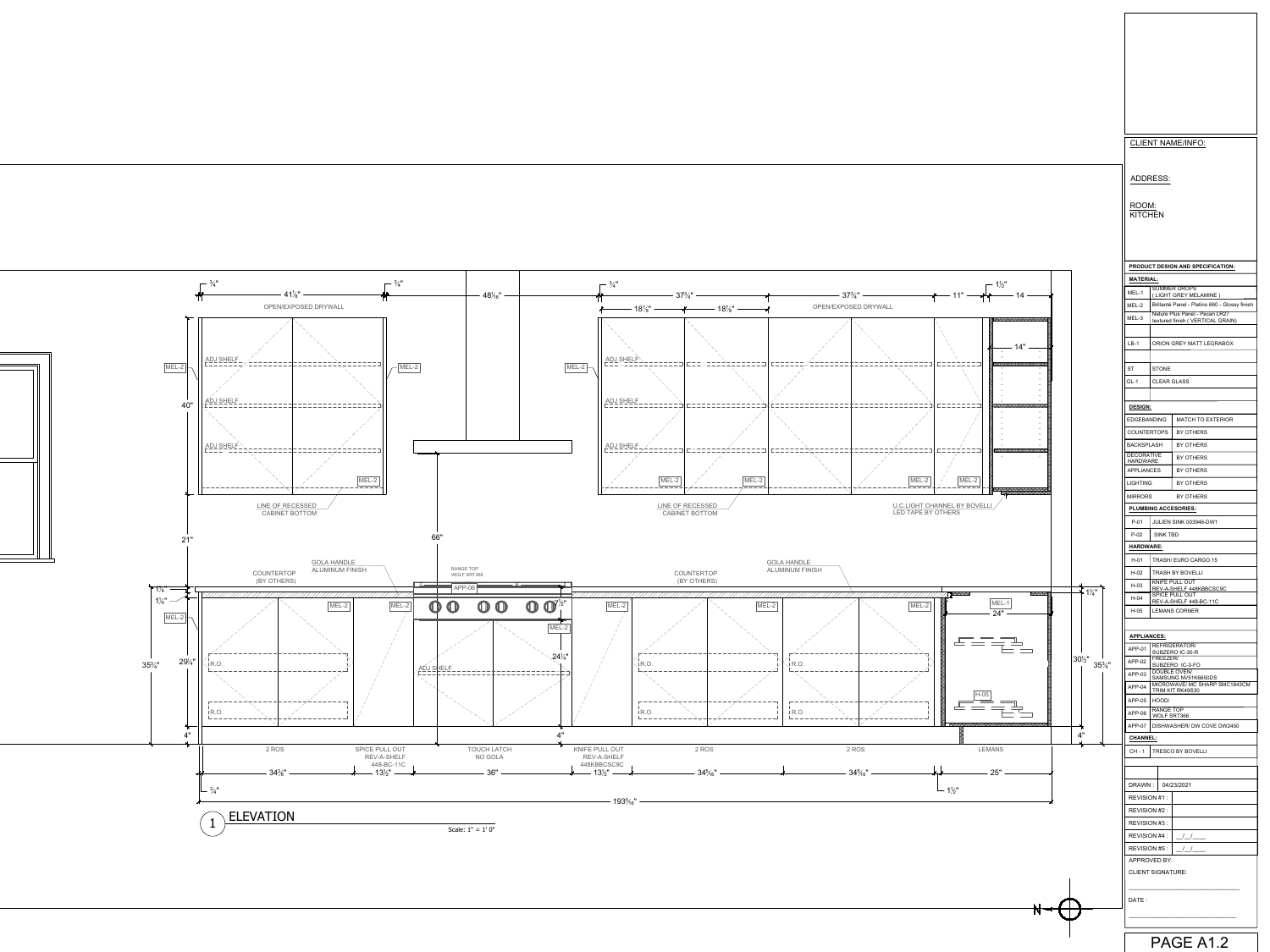ROOM: **KITCHEN** 

CLIENT NAME/INFO:

## ADDRESS:

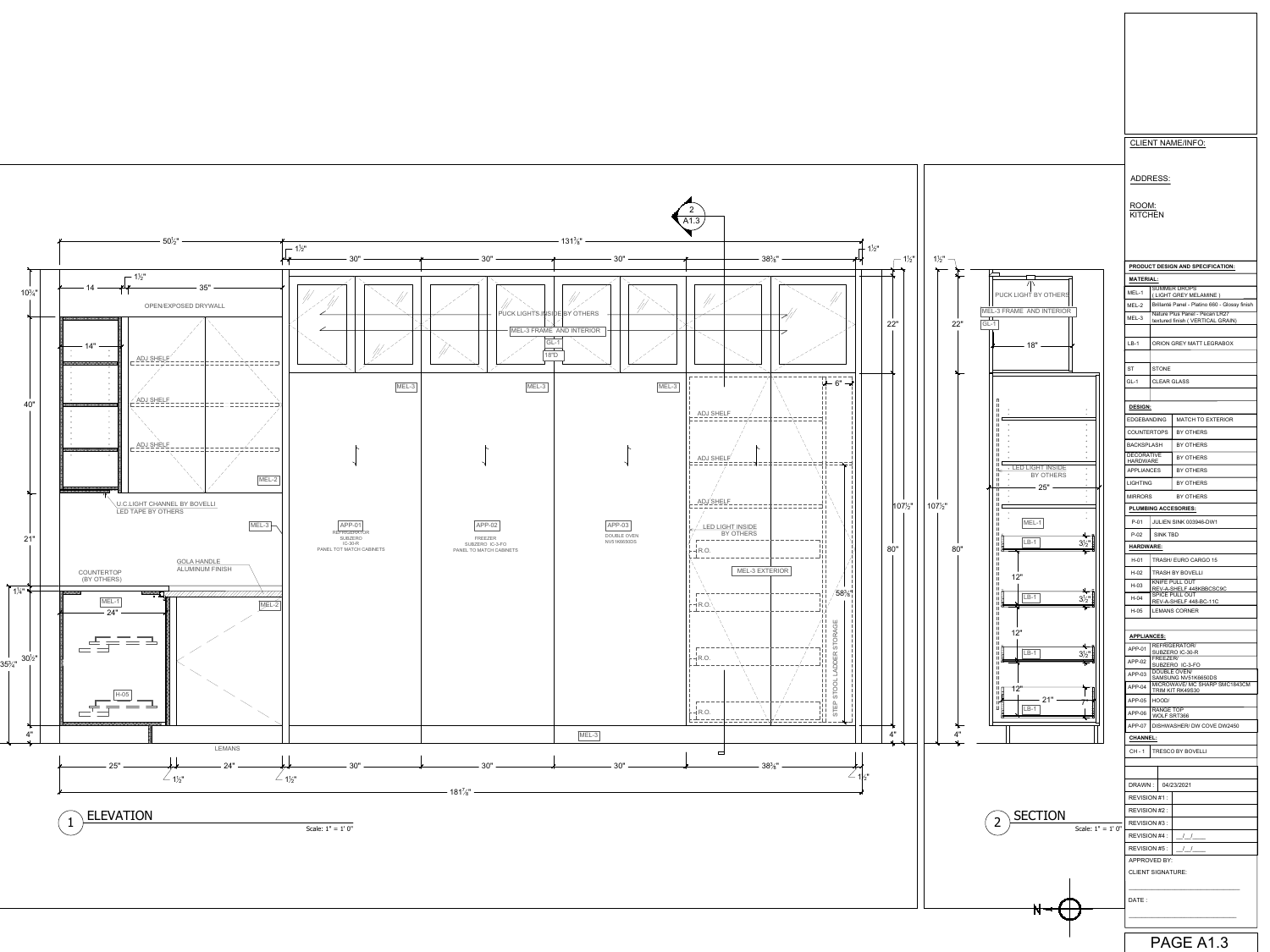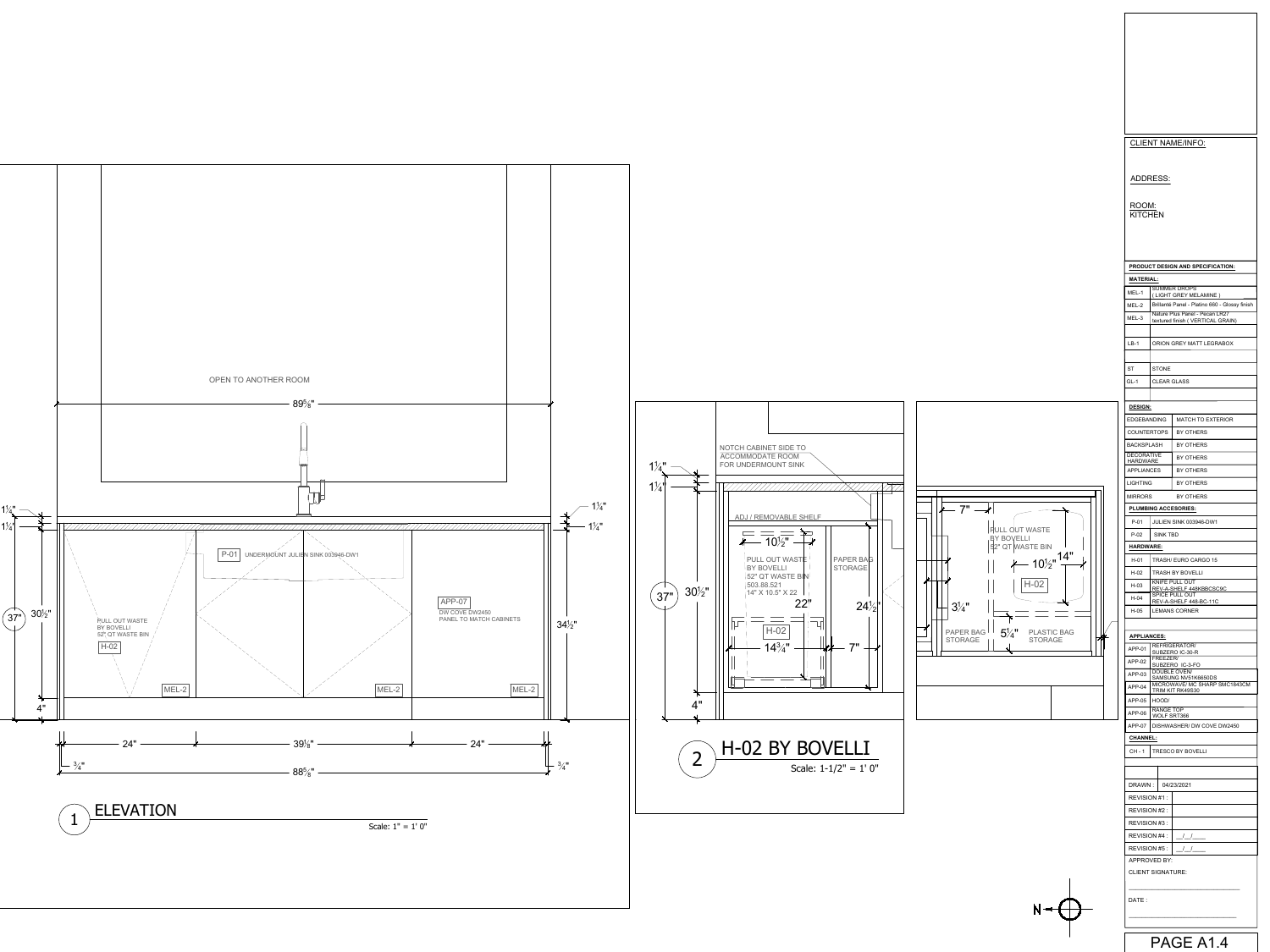